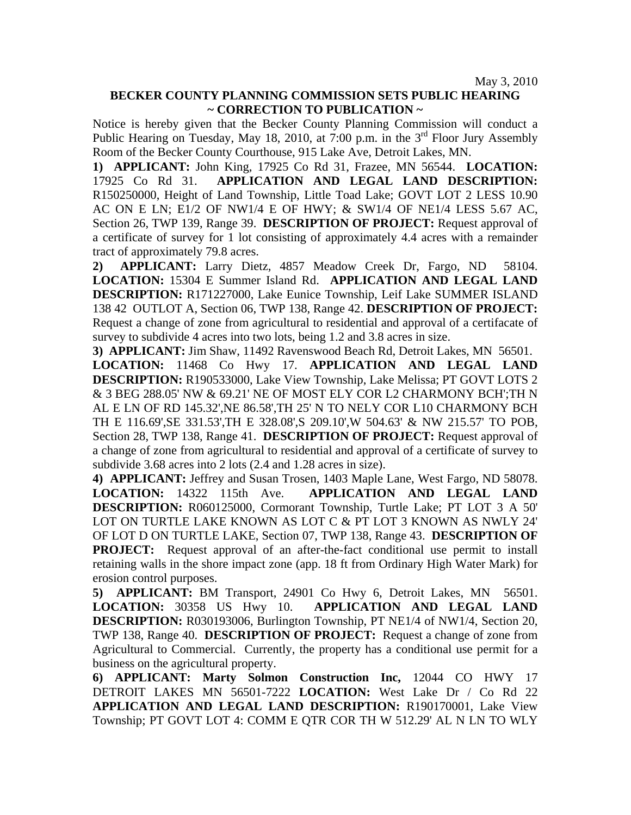May 3, 2010

## **BECKER COUNTY PLANNING COMMISSION SETS PUBLIC HEARING ~ CORRECTION TO PUBLICATION ~**

Notice is hereby given that the Becker County Planning Commission will conduct a Public Hearing on Tuesday, May 18, 2010, at 7:00 p.m. in the  $3<sup>rd</sup>$  Floor Jury Assembly Room of the Becker County Courthouse, 915 Lake Ave, Detroit Lakes, MN.

**1) APPLICANT:** John King, 17925 Co Rd 31, Frazee, MN 56544. **LOCATION:** 17925 Co Rd 31. **APPLICATION AND LEGAL LAND DESCRIPTION:** R150250000, Height of Land Township, Little Toad Lake; GOVT LOT 2 LESS 10.90 AC ON E LN; E1/2 OF NW1/4 E OF HWY; & SW1/4 OF NE1/4 LESS 5.67 AC, Section 26, TWP 139, Range 39. **DESCRIPTION OF PROJECT:** Request approval of a certificate of survey for 1 lot consisting of approximately 4.4 acres with a remainder tract of approximately 79.8 acres.

**2) APPLICANT:** Larry Dietz, 4857 Meadow Creek Dr, Fargo, ND 58104. **LOCATION:** 15304 E Summer Island Rd. **APPLICATION AND LEGAL LAND DESCRIPTION:** R171227000, Lake Eunice Township, Leif Lake SUMMER ISLAND 138 42 OUTLOT A, Section 06, TWP 138, Range 42. **DESCRIPTION OF PROJECT:**  Request a change of zone from agricultural to residential and approval of a certifacate of survey to subdivide 4 acres into two lots, being 1.2 and 3.8 acres in size.

**3) APPLICANT:** Jim Shaw, 11492 Ravenswood Beach Rd, Detroit Lakes, MN 56501.

**LOCATION:** 11468 Co Hwy 17. **APPLICATION AND LEGAL LAND DESCRIPTION:** R190533000, Lake View Township, Lake Melissa; PT GOVT LOTS 2 & 3 BEG 288.05' NW & 69.21' NE OF MOST ELY COR L2 CHARMONY BCH';TH N AL E LN OF RD 145.32',NE 86.58',TH 25' N TO NELY COR L10 CHARMONY BCH TH E 116.69',SE 331.53',TH E 328.08',S 209.10',W 504.63' & NW 215.57' TO POB, Section 28, TWP 138, Range 41. **DESCRIPTION OF PROJECT:** Request approval of a change of zone from agricultural to residential and approval of a certificate of survey to subdivide 3.68 acres into 2 lots (2.4 and 1.28 acres in size).

**4) APPLICANT:** Jeffrey and Susan Trosen, 1403 Maple Lane, West Fargo, ND 58078. **LOCATION:** 14322 115th Ave. **APPLICATION AND LEGAL LAND DESCRIPTION:** R060125000, Cormorant Township, Turtle Lake; PT LOT 3 A 50' LOT ON TURTLE LAKE KNOWN AS LOT C & PT LOT 3 KNOWN AS NWLY 24' OF LOT D ON TURTLE LAKE, Section 07, TWP 138, Range 43. **DESCRIPTION OF PROJECT:** Request approval of an after-the-fact conditional use permit to install retaining walls in the shore impact zone (app. 18 ft from Ordinary High Water Mark) for erosion control purposes.

**5) APPLICANT:** BM Transport, 24901 Co Hwy 6, Detroit Lakes, MN 56501. **LOCATION:** 30358 US Hwy 10. **APPLICATION AND LEGAL LAND DESCRIPTION:** R030193006, Burlington Township, PT NE1/4 of NW1/4, Section 20, TWP 138, Range 40. **DESCRIPTION OF PROJECT:** Request a change of zone from Agricultural to Commercial. Currently, the property has a conditional use permit for a business on the agricultural property.

**6) APPLICANT: Marty Solmon Construction Inc,** 12044 CO HWY 17 DETROIT LAKES MN 56501-7222 **LOCATION:** West Lake Dr / Co Rd 22 **APPLICATION AND LEGAL LAND DESCRIPTION:** R190170001, Lake View Township; PT GOVT LOT 4: COMM E QTR COR TH W 512.29' AL N LN TO WLY